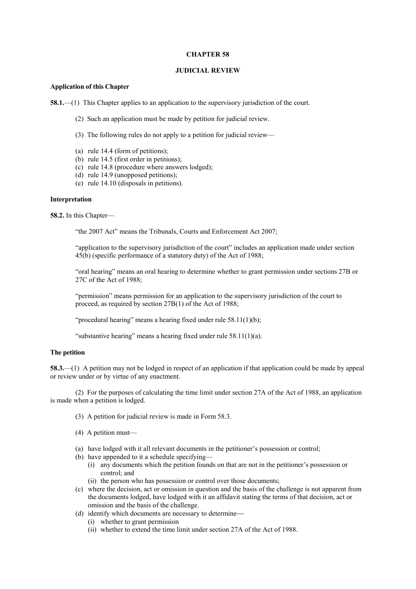### **CHAPTER 58**

### **JUDICIAL REVIEW**

### **Application of this Chapter**

**58.1.**—(1) This Chapter applies to an application to the supervisory jurisdiction of the court.

- (2) Such an application must be made by petition for judicial review.
- (3) The following rules do not apply to a petition for judicial review—
- (a) rule 14.4 (form of petitions);
- (b) rule 14.5 (first order in petitions);
- (c) rule 14.8 (procedure where answers lodged);
- (d) rule 14.9 (unopposed petitions);
- (e) rule 14.10 (disposals in petitions).

### **Interpretation**

**58.2.** In this Chapter—

"the 2007 Act" means the Tribunals, Courts and Enforcement Act 2007;

"application to the supervisory jurisdiction of the court" includes an application made under section 45(b) (specific performance of a statutory duty) of the Act of 1988;

"oral hearing" means an oral hearing to determine whether to grant permission under sections 27B or 27C of the Act of 1988;

"permission" means permission for an application to the supervisory jurisdiction of the court to proceed, as required by section 27B(1) of the Act of 1988;

"procedural hearing" means a hearing fixed under rule 58.11(1)(b);

"substantive hearing" means a hearing fixed under rule 58.11(1)(a).

# **The petition**

**58.3.**—(1) A petition may not be lodged in respect of an application if that application could be made by appeal or review under or by virtue of any enactment.

(2) For the purposes of calculating the time limit under section 27A of the Act of 1988, an application is made when a petition is lodged.

- (3) A petition for judicial review is made in Form 58.3.
- (4) A petition must—
- (a) have lodged with it all relevant documents in the petitioner's possession or control;
- (b) have appended to it a schedule specifying—
	- (i) any documents which the petition founds on that are not in the petitioner's possession or control; and
	- (ii) the person who has possession or control over those documents;
- (c) where the decision, act or omission in question and the basis of the challenge is not apparent from the documents lodged, have lodged with it an affidavit stating the terms of that decision, act or omission and the basis of the challenge.
- (d) identify which documents are necessary to determine
	- (i) whether to grant permission
	- (ii) whether to extend the time limit under section 27A of the Act of 1988.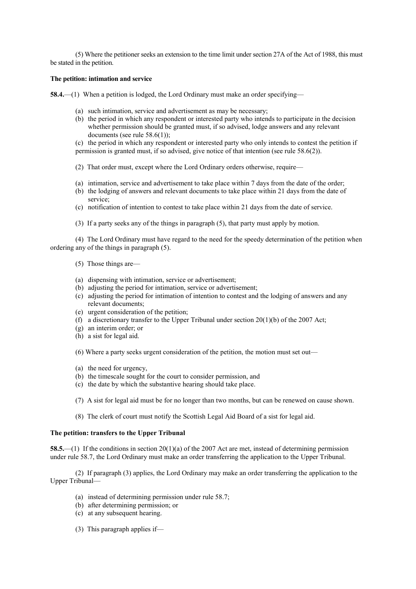(5) Where the petitioner seeks an extension to the time limit under section 27A of the Act of 1988, this must be stated in the petition.

### **The petition: intimation and service**

**58.4.**—(1) When a petition is lodged, the Lord Ordinary must make an order specifying—

- (a) such intimation, service and advertisement as may be necessary;
- (b) the period in which any respondent or interested party who intends to participate in the decision whether permission should be granted must, if so advised, lodge answers and any relevant documents (see rule 58.6(1));
- (c) the period in which any respondent or interested party who only intends to contest the petition if
- permission is granted must, if so advised, give notice of that intention (see rule 58.6(2)).
- (2) That order must, except where the Lord Ordinary orders otherwise, require—
- (a) intimation, service and advertisement to take place within 7 days from the date of the order;
- (b) the lodging of answers and relevant documents to take place within 21 days from the date of service;
- (c) notification of intention to contest to take place within 21 days from the date of service.
- (3) If a party seeks any of the things in paragraph (5), that party must apply by motion.

(4) The Lord Ordinary must have regard to the need for the speedy determination of the petition when ordering any of the things in paragraph (5).

- (5) Those things are—
- (a) dispensing with intimation, service or advertisement;
- (b) adjusting the period for intimation, service or advertisement;
- (c) adjusting the period for intimation of intention to contest and the lodging of answers and any relevant documents;
- (e) urgent consideration of the petition;
- (f) a discretionary transfer to the Upper Tribunal under section  $20(1)(b)$  of the 2007 Act;
- (g) an interim order; or
- (h) a sist for legal aid.
- (6) Where a party seeks urgent consideration of the petition, the motion must set out—
- (a) the need for urgency,
- (b) the timescale sought for the court to consider permission, and
- (c) the date by which the substantive hearing should take place.
- (7) A sist for legal aid must be for no longer than two months, but can be renewed on cause shown.
- (8) The clerk of court must notify the Scottish Legal Aid Board of a sist for legal aid.

# **The petition: transfers to the Upper Tribunal**

**58.5.**—(1) If the conditions in section 20(1)(a) of the 2007 Act are met, instead of determining permission under rule 58.7, the Lord Ordinary must make an order transferring the application to the Upper Tribunal.

(2) If paragraph (3) applies, the Lord Ordinary may make an order transferring the application to the Upper Tribunal—

- (a) instead of determining permission under rule 58.7;
- (b) after determining permission; or
- (c) at any subsequent hearing.
- (3) This paragraph applies if—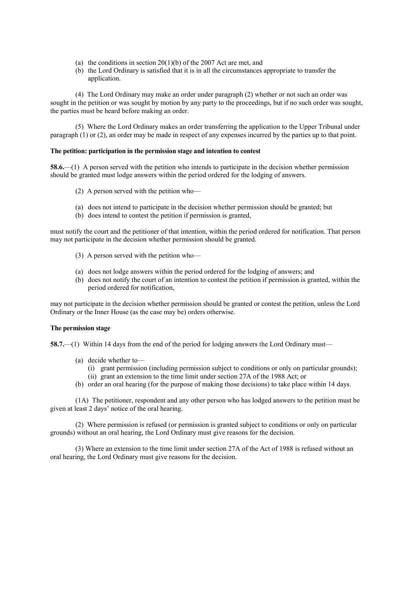- (a) the conditions in section  $20(1)(b)$  of the 2007 Act are met, and
- (b) the Lord Ordinary is satisfied that it is in all the circumstances appropriate to transfer the application.

(4) The Lord Ordinary may make an order under paragraph (2) whether or not such an order was sought in the petition or was sought by motion by any party to the proceedings, but if no such order was sought, the parties must be heard before making an order.

(5) Where the Lord Ordinary makes an order transferring the application to the Upper Tribunal under paragraph (1) or (2), an order may be made in respect of any expenses incurred by the parties up to that point.

### **The petition: participation in the permission stage and intention to contest**

**58.6.**—(1) A person served with the petition who intends to participate in the decision whether permission should be granted must lodge answers within the period ordered for the lodging of answers.

- (2) A person served with the petition who—
- (a) does not intend to participate in the decision whether permission should be granted; but
- (b) does intend to contest the petition if permission is granted,

must notify the court and the petitioner of that intention, within the period ordered for notification. That person may not participate in the decision whether permission should be granted.

- (3) A person served with the petition who—
- (a) does not lodge answers within the period ordered for the lodging of answers; and
- (b) does not notify the court of an intention to contest the petition if permission is granted, within the period ordered for notification,

may not participate in the decision whether permission should be granted or contest the petition, unless the Lord Ordinary or the Inner House (as the case may be) orders otherwise.

#### **The permission stage**

**58.7.**—(1) Within 14 days from the end of the period for lodging answers the Lord Ordinary must—

- (a) decide whether to—
	- (i) grant permission (including permission subject to conditions or only on particular grounds);
	- (ii) grant an extension to the time limit under section 27A of the 1988 Act; or
- (b) order an oral hearing (for the purpose of making those decisions) to take place within 14 days.

(1A) The petitioner, respondent and any other person who has lodged answers to the petition must be given at least 2 days' notice of the oral hearing.

(2) Where permission is refused (or permission is granted subject to conditions or only on particular grounds) without an oral hearing, the Lord Ordinary must give reasons for the decision.

(3) Where an extension to the time limit under section 27A of the Act of 1988 is refused without an oral hearing, the Lord Ordinary must give reasons for the decision.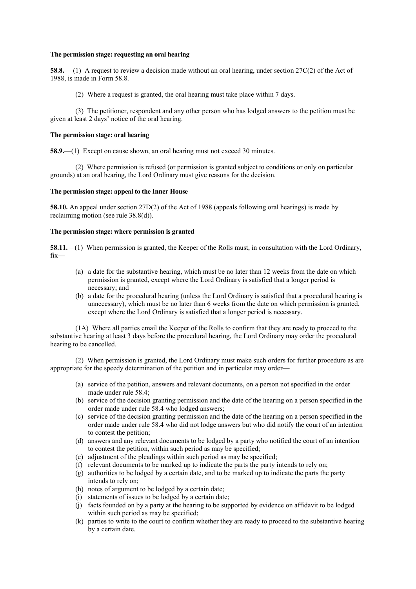### **The permission stage: requesting an oral hearing**

**58.8.**— (1) A request to review a decision made without an oral hearing, under section 27C(2) of the Act of 1988, is made in Form 58.8.

(2) Where a request is granted, the oral hearing must take place within 7 days.

(3) The petitioner, respondent and any other person who has lodged answers to the petition must be given at least 2 days' notice of the oral hearing.

### **The permission stage: oral hearing**

**58.9.**—(1) Except on cause shown, an oral hearing must not exceed 30 minutes.

(2) Where permission is refused (or permission is granted subject to conditions or only on particular grounds) at an oral hearing, the Lord Ordinary must give reasons for the decision.

# **The permission stage: appeal to the Inner House**

**58.10.** An appeal under section 27D(2) of the Act of 1988 (appeals following oral hearings) is made by reclaiming motion (see rule 38.8(d)).

### **The permission stage: where permission is granted**

**58.11.**—(1) When permission is granted, the Keeper of the Rolls must, in consultation with the Lord Ordinary, fix—

- (a) a date for the substantive hearing, which must be no later than 12 weeks from the date on which permission is granted, except where the Lord Ordinary is satisfied that a longer period is necessary; and
- (b) a date for the procedural hearing (unless the Lord Ordinary is satisfied that a procedural hearing is unnecessary), which must be no later than 6 weeks from the date on which permission is granted, except where the Lord Ordinary is satisfied that a longer period is necessary.

(1A) Where all parties email the Keeper of the Rolls to confirm that they are ready to proceed to the substantive hearing at least 3 days before the procedural hearing, the Lord Ordinary may order the procedural hearing to be cancelled.

(2) When permission is granted, the Lord Ordinary must make such orders for further procedure as are appropriate for the speedy determination of the petition and in particular may order—

- (a) service of the petition, answers and relevant documents, on a person not specified in the order made under rule 58.4;
- (b) service of the decision granting permission and the date of the hearing on a person specified in the order made under rule 58.4 who lodged answers;
- (c) service of the decision granting permission and the date of the hearing on a person specified in the order made under rule 58.4 who did not lodge answers but who did notify the court of an intention to contest the petition;
- (d) answers and any relevant documents to be lodged by a party who notified the court of an intention to contest the petition, within such period as may be specified;
- (e) adjustment of the pleadings within such period as may be specified;
- (f) relevant documents to be marked up to indicate the parts the party intends to rely on;
- (g) authorities to be lodged by a certain date, and to be marked up to indicate the parts the party intends to rely on;
- (h) notes of argument to be lodged by a certain date;
- (i) statements of issues to be lodged by a certain date;
- (j) facts founded on by a party at the hearing to be supported by evidence on affidavit to be lodged within such period as may be specified;
- (k) parties to write to the court to confirm whether they are ready to proceed to the substantive hearing by a certain date.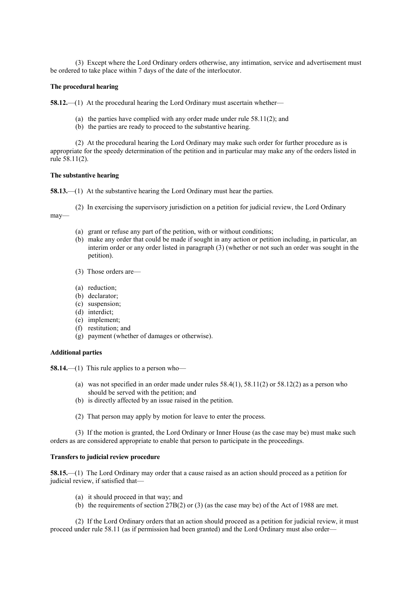(3) Except where the Lord Ordinary orders otherwise, any intimation, service and advertisement must be ordered to take place within 7 days of the date of the interlocutor.

# **The procedural hearing**

**58.12.**—(1) At the procedural hearing the Lord Ordinary must ascertain whether—

- (a) the parties have complied with any order made under rule 58.11(2); and
- (b) the parties are ready to proceed to the substantive hearing.

(2) At the procedural hearing the Lord Ordinary may make such order for further procedure as is appropriate for the speedy determination of the petition and in particular may make any of the orders listed in rule 58.11(2).

# **The substantive hearing**

**58.13.**—(1) At the substantive hearing the Lord Ordinary must hear the parties.

(2) In exercising the supervisory jurisdiction on a petition for judicial review, the Lord Ordinary may—

- (a) grant or refuse any part of the petition, with or without conditions;
- (b) make any order that could be made if sought in any action or petition including, in particular, an interim order or any order listed in paragraph (3) (whether or not such an order was sought in the petition).
- (3) Those orders are—
- (a) reduction;
- (b) declarator;
- (c) suspension;
- (d) interdict;
- (e) implement;
- (f) restitution; and
- (g) payment (whether of damages or otherwise).

# **Additional parties**

**58.14.**—(1) This rule applies to a person who—

- (a) was not specified in an order made under rules  $58.4(1)$ ,  $58.1(2)$  or  $58.12(2)$  as a person who should be served with the petition; and
- (b) is directly affected by an issue raised in the petition.
- (2) That person may apply by motion for leave to enter the process.

(3) If the motion is granted, the Lord Ordinary or Inner House (as the case may be) must make such orders as are considered appropriate to enable that person to participate in the proceedings.

### **Transfers to judicial review procedure**

**58.15.**—(1) The Lord Ordinary may order that a cause raised as an action should proceed as a petition for judicial review, if satisfied that—

- (a) it should proceed in that way; and
- (b) the requirements of section  $27B(2)$  or (3) (as the case may be) of the Act of 1988 are met.

(2) If the Lord Ordinary orders that an action should proceed as a petition for judicial review, it must proceed under rule 58.11 (as if permission had been granted) and the Lord Ordinary must also order—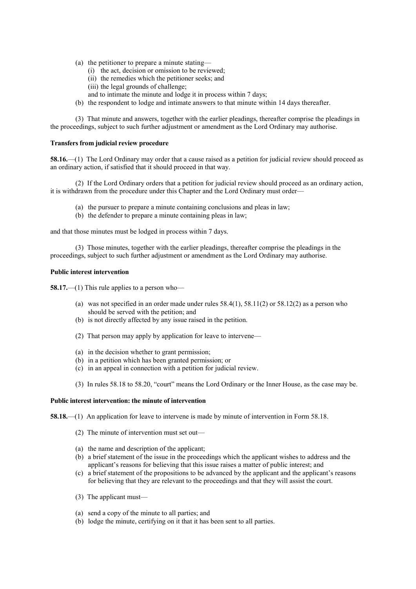- (a) the petitioner to prepare a minute stating—
	- (i) the act, decision or omission to be reviewed;
	- (ii) the remedies which the petitioner seeks; and
	- (iii) the legal grounds of challenge;
	- and to intimate the minute and lodge it in process within 7 days;
- (b) the respondent to lodge and intimate answers to that minute within 14 days thereafter.

(3) That minute and answers, together with the earlier pleadings, thereafter comprise the pleadings in the proceedings, subject to such further adjustment or amendment as the Lord Ordinary may authorise.

### **Transfers from judicial review procedure**

**58.16.**—(1) The Lord Ordinary may order that a cause raised as a petition for judicial review should proceed as an ordinary action, if satisfied that it should proceed in that way.

(2) If the Lord Ordinary orders that a petition for judicial review should proceed as an ordinary action, it is withdrawn from the procedure under this Chapter and the Lord Ordinary must order—

- (a) the pursuer to prepare a minute containing conclusions and pleas in law;
- (b) the defender to prepare a minute containing pleas in law;

and that those minutes must be lodged in process within 7 days.

(3) Those minutes, together with the earlier pleadings, thereafter comprise the pleadings in the proceedings, subject to such further adjustment or amendment as the Lord Ordinary may authorise.

# **Public interest intervention**

**58.17.**—(1) This rule applies to a person who—

- (a) was not specified in an order made under rules  $58.4(1)$ ,  $58.1(2)$  or  $58.12(2)$  as a person who should be served with the petition; and
- (b) is not directly affected by any issue raised in the petition.
- (2) That person may apply by application for leave to intervene—
- (a) in the decision whether to grant permission;
- (b) in a petition which has been granted permission; or
- (c) in an appeal in connection with a petition for judicial review.
- (3) In rules 58.18 to 58.20, "court" means the Lord Ordinary or the Inner House, as the case may be.

### **Public interest intervention: the minute of intervention**

**58.18.**—(1) An application for leave to intervene is made by minute of intervention in Form 58.18.

- (2) The minute of intervention must set out—
- (a) the name and description of the applicant;
- (b) a brief statement of the issue in the proceedings which the applicant wishes to address and the applicant's reasons for believing that this issue raises a matter of public interest; and
- (c) a brief statement of the propositions to be advanced by the applicant and the applicant's reasons for believing that they are relevant to the proceedings and that they will assist the court.
- (3) The applicant must—
- (a) send a copy of the minute to all parties; and
- (b) lodge the minute, certifying on it that it has been sent to all parties.